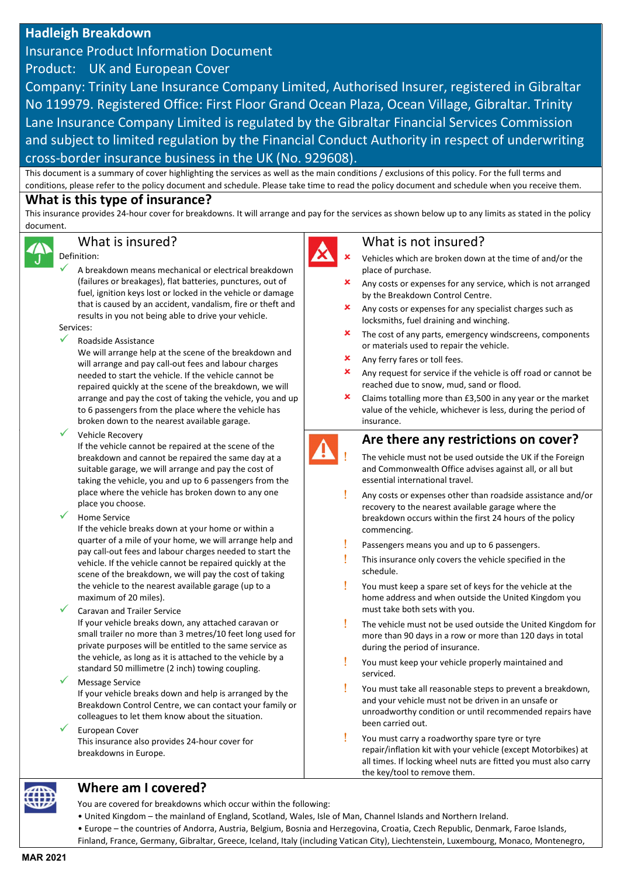# Hadleigh Breakdown

Insurance Product Information Document

Product: UK and European Cover

Company: Trinity Lane Insurance Company Limited, Authorised Insurer, registered in Gibraltar No 119979. Registered Office: First Floor Grand Ocean Plaza, Ocean Village, Gibraltar. Trinity Lane Insurance Company Limited is regulated by the Gibraltar Financial Services Commission and subject to limited regulation by the Financial Conduct Authority in respect of underwriting cross-border insurance business in the UK (No. 929608).

This document is a summary of cover highlighting the services as well as the main conditions / exclusions of this policy. For the full terms and conditions, please refer to the policy document and schedule. Please take time to read the policy document and schedule when you receive them.

# What is this type of insurance?

This insurance provides 24-hour cover for breakdowns. It will arrange and pay for the services as shown below up to any limits as stated in the policy document.



# What is insured?

### Definition:

 A breakdown means mechanical or electrical breakdown (failures or breakages), flat batteries, punctures, out of fuel, ignition keys lost or locked in the vehicle or damage that is caused by an accident, vandalism, fire or theft and results in you not being able to drive your vehicle.

Services:

## Roadside Assistance

We will arrange help at the scene of the breakdown and will arrange and pay call-out fees and labour charges needed to start the vehicle. If the vehicle cannot be repaired quickly at the scene of the breakdown, we will arrange and pay the cost of taking the vehicle, you and up to 6 passengers from the place where the vehicle has broken down to the nearest available garage.

Vehicle Recovery

If the vehicle cannot be repaired at the scene of the breakdown and cannot be repaired the same day at a suitable garage, we will arrange and pay the cost of taking the vehicle, you and up to 6 passengers from the place where the vehicle has broken down to any one place you choose.

Home Service

If the vehicle breaks down at your home or within a quarter of a mile of your home, we will arrange help and pay call-out fees and labour charges needed to start the vehicle. If the vehicle cannot be repaired quickly at the scene of the breakdown, we will pay the cost of taking the vehicle to the nearest available garage (up to a maximum of 20 miles).

## Caravan and Trailer Service

If your vehicle breaks down, any attached caravan or small trailer no more than 3 metres/10 feet long used for private purposes will be entitled to the same service as the vehicle, as long as it is attached to the vehicle by a standard 50 millimetre (2 inch) towing coupling.

# Message Service

If your vehicle breaks down and help is arranged by the Breakdown Control Centre, we can contact your family or colleagues to let them know about the situation.

European Cover

This insurance also provides 24-hour cover for breakdowns in Europe.

# What is not insured?

- Vehicles which are broken down at the time of and/or the place of purchase.
- Any costs or expenses for any service, which is not arranged by the Breakdown Control Centre.
- Any costs or expenses for any specialist charges such as locksmiths, fuel draining and winching.
- The cost of any parts, emergency windscreens, components or materials used to repair the vehicle.
- Any ferry fares or toll fees.
- Any request for service if the vehicle is off road or cannot be reached due to snow, mud, sand or flood.
- $\mathbf{\times}$  Claims totalling more than £3,500 in any year or the market value of the vehicle, whichever is less, during the period of insurance.



# Are there any restrictions on cover?

 The vehicle must not be used outside the UK if the Foreign and Commonwealth Office advises against all, or all but essential international travel.

- Any costs or expenses other than roadside assistance and/or recovery to the nearest available garage where the breakdown occurs within the first 24 hours of the policy commencing.
- Passengers means you and up to 6 passengers.
- **This insurance only covers the vehicle specified in the** schedule.
- You must keep a spare set of keys for the vehicle at the home address and when outside the United Kingdom you must take both sets with you.
- The vehicle must not be used outside the United Kingdom for more than 90 days in a row or more than 120 days in total during the period of insurance.
- You must keep your vehicle properly maintained and serviced.
- You must take all reasonable steps to prevent a breakdown, and your vehicle must not be driven in an unsafe or unroadworthy condition or until recommended repairs have been carried out.
- You must carry a roadworthy spare tyre or tyre repair/inflation kit with your vehicle (except Motorbikes) at all times. If locking wheel nuts are fitted you must also carry the key/tool to remove them.

# Where am I covered?

You are covered for breakdowns which occur within the following:

- United Kingdom the mainland of England, Scotland, Wales, Isle of Man, Channel Islands and Northern Ireland.
- Europe the countries of Andorra, Austria, Belgium, Bosnia and Herzegovina, Croatia, Czech Republic, Denmark, Faroe Islands,
- Finland, France, Germany, Gibraltar, Greece, Iceland, Italy (including Vatican City), Liechtenstein, Luxembourg, Monaco, Montenegro,